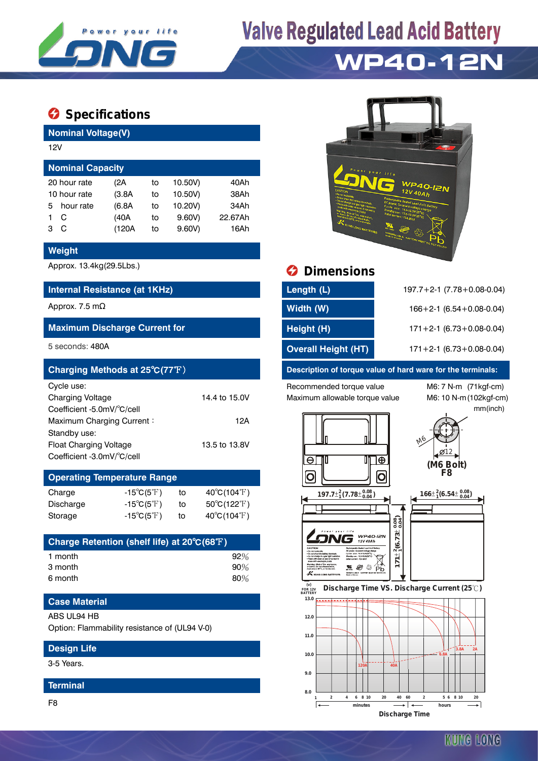

# **Valve Regulated Lead Acid Battery**

## **WP40-12N**

### $\bullet$  Specifications

**Nominal Voltage(V)**

| <b>Nominal Capacity</b> |                                     |    |         |         |  |  |  |
|-------------------------|-------------------------------------|----|---------|---------|--|--|--|
|                         | (2A                                 | to | 10.50V) | 40Ah    |  |  |  |
|                         | (3.8A)                              | to | 10.50V) | 38Ah    |  |  |  |
| hour rate               | (6.8A)                              | to | 10.20V) | 34Ah    |  |  |  |
| C                       | (40A                                | to | 9.60V   | 22.67Ah |  |  |  |
| С                       | (120A                               | to | 9.60V   | 16Ah    |  |  |  |
|                         | 12V<br>20 hour rate<br>10 hour rate |    |         |         |  |  |  |

#### **Weight**

#### **Internal Resistance (at 1KHz)**

#### **Maximum Discharge Current for**

| Charging Methods at 25°C(77°F) |               |
|--------------------------------|---------------|
| Cycle use:                     |               |
| <b>Charging Voltage</b>        | 14.4 to 15.0V |
| Coefficient -5.0mV/°C/cell     |               |
| Maximum Charging Current:      | 12A           |
| Standby use:                   |               |
| Float Charging Voltage         | 13.5 to 13.8V |
| Coefficient -3.0mV/°C/cell     |               |

## **Operating Temperature Range**

| Charge    | $-15^{\circ}C(5^{\circ}F)$ | to | $40^{\circ}$ C(104 $^{\circ}$ F) |
|-----------|----------------------------|----|----------------------------------|
| Discharge | $-15^{\circ}C(5^{\circ}F)$ | to | $50^{\circ}$ C(122 $^{\circ}$ F) |
| Storage   | $-15^{\circ}C(5^{\circ}F)$ | to | $40^{\circ}$ C(104 $^{\circ}$ F) |

| Charge Retention (shelf life) at 20°C(68°F) |     |
|---------------------------------------------|-----|
| 1 month                                     | 92% |
| 3 month                                     | 90% |
| 6 month                                     | 80% |

### **Case Material**

#### ABS UL94 HB

Option: Flammability resistance of (UL94 V-0)

#### **Design Life**

3-5 Years.

#### **Terminal**

F8



### Approx. 13.4kg(29.5Lbs.) **Dimensions**

| Internal Resistance (at 1KHz)        | Length (L)                 | $197.7 + 2 - 1$ (7.78 + 0.08 - 0.04) |
|--------------------------------------|----------------------------|--------------------------------------|
| Approx. 7.5 mΩ                       | Width (W)                  | $166 + 2 - 1$ (6.54 + 0.08 - 0.04)   |
| <b>Maximum Discharge Current for</b> | Height (H)                 | $171 + 2 - 1$ (6.73 + 0.08 - 0.04)   |
| 5 seconds: 480A                      | <b>Overall Height (HT)</b> | $171 + 2 - 1$ (6.73 + 0.08 - 0.04)   |

#### **Description of torque value of hard ware for the terminals:**

Recommended torque value M6: 7 N-m (71kgf-cm) Maximum allowable torque value M6: 10 N-m (102kgf-cm)

mm(inch)





.Ø12

**Discharge Time VS. Discharge Current (25 ℃)**